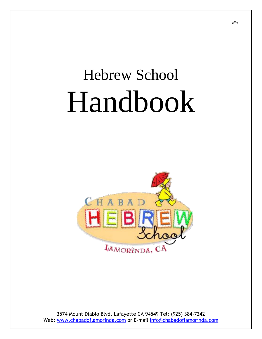# Hebrew School Handbook

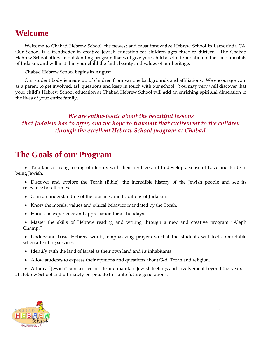## **Welcome**

Welcome to Chabad Hebrew School, the newest and most innovative Hebrew School in Lamorinda CA. Our School is a trendsetter in creative Jewish education for children ages three to thirteen. The Chabad Hebrew School offers an outstanding program that will give your child a solid foundation in the fundamentals of Judaism, and will instill in your child the faith, beauty and values of our heritage.

Chabad Hebrew School begins in August.

Our student body is made up of children from various backgrounds and affiliations. We encourage you, as a parent to get involved, ask questions and keep in touch with our school. You may very well discover that your child's Hebrew School education at Chabad Hebrew School will add an enriching spiritual dimension to the lives of your entire family.

*We are enthusiastic about the beautiful lessons that Judaism has to offer, and we hope to transmit that excitement to the children through the excellent Hebrew School program at Chabad.*

## **The Goals of our Program**

 To attain a strong feeling of identity with their heritage and to develop a sense of Love and Pride in being Jewish.

 Discover and explore the Torah (Bible), the incredible history of the Jewish people and see its relevance for all times.

- Gain an understanding of the practices and traditions of Judaism.
- Know the morals, values and ethical behavior mandated by the Torah.
- Hands-on experience and appreciation for all holidays.

• Master the skills of Hebrew reading and writing through a new and creative program "Aleph Champ."

 Understand basic Hebrew words, emphasizing prayers so that the students will feel comfortable when attending services.

- Identify with the land of Israel as their own land and its inhabitants.
- Allow students to express their opinions and questions about G-d, Torah and religion.

 Attain a "Jewish" perspective on life and maintain Jewish feelings and involvement beyond the years at Hebrew School and ultimately perpetuate this onto future generations.

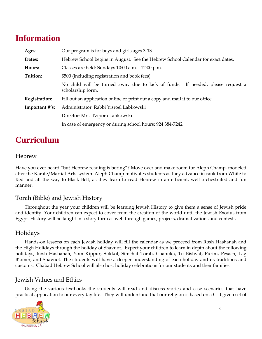## **Information**

| Ages:          | Our program is for boys and girls ages 3-13                                                         |
|----------------|-----------------------------------------------------------------------------------------------------|
| Dates:         | Hebrew School begins in August. See the Hebrew School Calendar for exact dates.                     |
| Hours:         | Classes are held: Sundays 10:00 a.m. - 12:00 p.m.                                                   |
| Tuition:       | \$500 (including registration and book fees)                                                        |
|                | No child will be turned away due to lack of funds. If needed, please request a<br>scholarship form. |
| Registration:  | Fill out an application online or print out a copy and mail it to our office.                       |
| Important #'s: | Administrator: Rabbi Yisroel Labkowski                                                              |
|                | Director: Mrs. Tzipora Labkowski                                                                    |
|                | In case of emergency or during school hours: 924 384-7242                                           |

## **Curriculum**

#### Hebrew

Have you ever heard "but Hebrew reading is boring"? Move over and make room for Aleph Champ, modeled after the Karate/Martial Arts system. Aleph Champ motivates students as they advance in rank from White to Red and all the way to Black Belt, as they learn to read Hebrew in an efficient, well-orchestrated and fun manner.

#### Torah (Bible) and Jewish History

Throughout the year your children will be learning Jewish History to give them a sense of Jewish pride and identity. Your children can expect to cover from the creation of the world until the Jewish Exodus from Egypt. History will be taught in a story form as well through games, projects, dramatizations and contests.

#### Holidays

Hands-on lessons on each Jewish holiday will fill the calendar as we proceed from Rosh Hashanah and the High Holidays through the holiday of Shavuot. Expect your children to learn in depth about the following holidays; Rosh Hashanah, Yom Kippur, Sukkot, Simchat Torah, Chanuka, Tu Bishvat, Purim, Pesach, Lag B'omer, and Shavuot. The students will have a deeper understanding of each holiday and its traditions and customs. Chabad Hebrew School will also host holiday celebrations for our students and their families.

#### Jewish Values and Ethics

Using the various textbooks the students will read and discuss stories and case scenarios that have practical application to our everyday life. They will understand that our religion is based on a G-d given set of